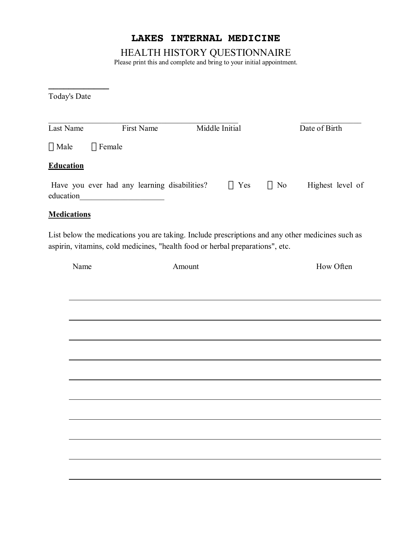# **LAKES INTERNAL MEDICINE**

HEALTH HISTORY QUESTIONNAIRE

Please print this and complete and bring to your initial appointment.

Today's Date

**\_\_\_\_\_\_\_\_\_\_\_\_** 

| Last Name          | First Name                                                                                         | Middle Initial                                                                | Date of Birth                                                                                    |
|--------------------|----------------------------------------------------------------------------------------------------|-------------------------------------------------------------------------------|--------------------------------------------------------------------------------------------------|
| $\Box$ Male        | $\Box$ Female                                                                                      |                                                                               |                                                                                                  |
| <b>Education</b>   |                                                                                                    |                                                                               |                                                                                                  |
| education          | Have you ever had any learning disabilities?<br><u> 1989 - Johann Barbara, martxa alemani</u> ar a | Yes<br>$\perp$                                                                | Highest level of<br>$\Box$ No                                                                    |
| <b>Medications</b> |                                                                                                    |                                                                               |                                                                                                  |
|                    |                                                                                                    | aspirin, vitamins, cold medicines, "health food or herbal preparations", etc. | List below the medications you are taking. Include prescriptions and any other medicines such as |
| Name               |                                                                                                    | Amount                                                                        | How Often                                                                                        |
|                    |                                                                                                    |                                                                               |                                                                                                  |
|                    |                                                                                                    |                                                                               |                                                                                                  |
|                    |                                                                                                    |                                                                               |                                                                                                  |
|                    |                                                                                                    |                                                                               |                                                                                                  |
|                    |                                                                                                    |                                                                               |                                                                                                  |
|                    |                                                                                                    |                                                                               |                                                                                                  |
|                    |                                                                                                    |                                                                               |                                                                                                  |
|                    |                                                                                                    |                                                                               |                                                                                                  |
|                    |                                                                                                    |                                                                               |                                                                                                  |
|                    |                                                                                                    |                                                                               |                                                                                                  |
|                    |                                                                                                    |                                                                               |                                                                                                  |
|                    |                                                                                                    |                                                                               |                                                                                                  |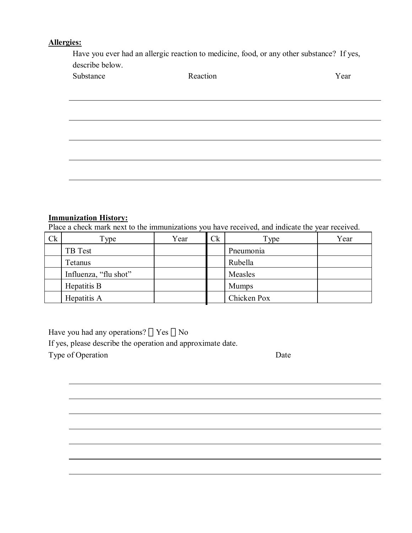### **Allergies:**

Have you ever had an allergic reaction to medicine, food, or any other substance? If yes, describe below.

| Substance<br>Reaction | Y ear |
|-----------------------|-------|
|-----------------------|-------|

#### **Immunization History:**

Place a check mark next to the immunizations you have received, and indicate the year received.

| <b>Ck</b> | $\Gamma$ ype          | Year | C <sub>k</sub> | Type         | Year |
|-----------|-----------------------|------|----------------|--------------|------|
|           | TB Test               |      |                | Pneumonia    |      |
|           | Tetanus               |      |                | Rubella      |      |
|           | Influenza, "flu shot" |      |                | Measles      |      |
|           | Hepatitis B           |      |                | <b>Mumps</b> |      |
|           | Hepatitis A           |      |                | Chicken Pox  |      |

Have you had any operations?  $\Box$  Yes  $\Box$  No

If yes, please describe the operation and approximate date.

Type of Operation Date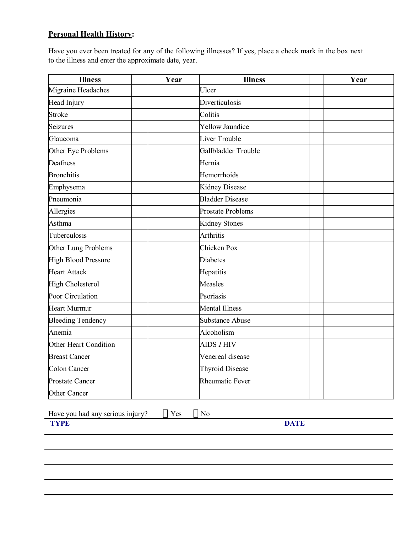### **Personal Health History:**

Have you ever been treated for any of the following illnesses? If yes, place a check mark in the box next to the illness and enter the approximate date, year.

| <b>Illness</b>             | Year | <b>Illness</b>           | Year |
|----------------------------|------|--------------------------|------|
| Migraine Headaches         |      | Ulcer                    |      |
| Head Injury                |      | Diverticulosis           |      |
| <b>Stroke</b>              |      | Colitis                  |      |
| <b>Seizures</b>            |      | <b>Yellow Jaundice</b>   |      |
| Glaucoma                   |      | Liver Trouble            |      |
| Other Eye Problems         |      | Gallbladder Trouble      |      |
| Deafness                   |      | Hernia                   |      |
| <b>Bronchitis</b>          |      | Hemorrhoids              |      |
| Emphysema                  |      | Kidney Disease           |      |
| Pneumonia                  |      | <b>Bladder Disease</b>   |      |
| Allergies                  |      | <b>Prostate Problems</b> |      |
| Asthma                     |      | <b>Kidney Stones</b>     |      |
| Tuberculosis               |      | Arthritis                |      |
| Other Lung Problems        |      | Chicken Pox              |      |
| <b>High Blood Pressure</b> |      | <b>Diabetes</b>          |      |
| <b>Heart Attack</b>        |      | Hepatitis                |      |
| <b>High Cholesterol</b>    |      | Measles                  |      |
| Poor Circulation           |      | Psoriasis                |      |
| <b>Heart Murmur</b>        |      | <b>Mental Illness</b>    |      |
| <b>Bleeding Tendency</b>   |      | <b>Substance Abuse</b>   |      |
| Anemia                     |      | Alcoholism               |      |
| Other Heart Condition      |      | <b>AIDS / HIV</b>        |      |
| <b>Breast Cancer</b>       |      | Venereal disease         |      |
| <b>Colon Cancer</b>        |      | <b>Thyroid Disease</b>   |      |
| <b>Prostate Cancer</b>     |      | Rheumatic Fever          |      |
| Other Cancer               |      |                          |      |

Have you had any serious injury?  $\Box$  Yes  $\Box$  No **TYPE** 

**TYPE** DATE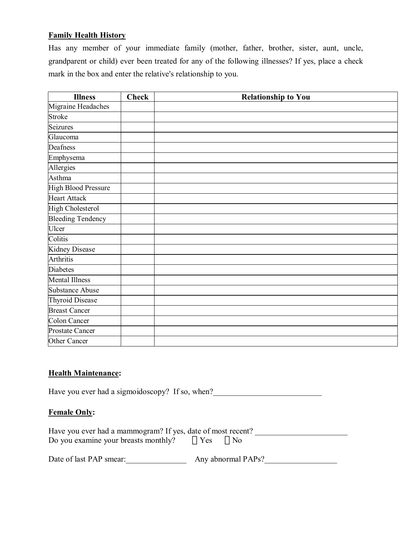# **Family Health History**

Has any member of your immediate family (mother, father, brother, sister, aunt, uncle, grandparent or child) ever been treated for any of the following illnesses? If yes, place a check mark in the box and enter the relative's relationship to you.

| <b>Illness</b>             | <b>Check</b> | <b>Relationship to You</b> |
|----------------------------|--------------|----------------------------|
| Migraine Headaches         |              |                            |
| Stroke                     |              |                            |
| Seizures                   |              |                            |
| Glaucoma                   |              |                            |
| Deafness                   |              |                            |
| Emphysema                  |              |                            |
| Allergies                  |              |                            |
| Asthma                     |              |                            |
| <b>High Blood Pressure</b> |              |                            |
| <b>Heart Attack</b>        |              |                            |
| <b>High Cholesterol</b>    |              |                            |
| <b>Bleeding Tendency</b>   |              |                            |
| Ulcer                      |              |                            |
| Colitis                    |              |                            |
| <b>Kidney Disease</b>      |              |                            |
| Arthritis                  |              |                            |
| <b>Diabetes</b>            |              |                            |
| <b>Mental Illness</b>      |              |                            |
| <b>Substance Abuse</b>     |              |                            |
| <b>Thyroid Disease</b>     |              |                            |
| <b>Breast Cancer</b>       |              |                            |
| Colon Cancer               |              |                            |
| <b>Prostate Cancer</b>     |              |                            |
| Other Cancer               |              |                            |

#### **Health Maintenance:**

Have you ever had a sigmoidoscopy? If so, when?\_\_\_\_\_\_\_\_\_\_\_\_\_\_\_\_\_\_\_\_\_\_\_\_\_\_\_\_\_\_\_\_\_

## **Female Only:**

| Have you ever had a mammogram? If yes, date of most recent? |  |
|-------------------------------------------------------------|--|
| Do you examine your breasts monthly? $\Box$ Yes $\Box$ No   |  |

| Date of last PAP smear: | Any abnormal PAPs? |
|-------------------------|--------------------|
|-------------------------|--------------------|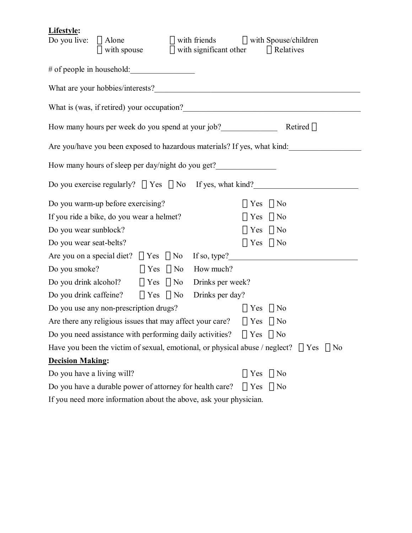# **Lifestyle:**

| Do you live: $\Box$ Alone                                                                              |  |  |  | $\Box$ with spouse $\Box$ with significant other $\Box$ Relatives |                      | $\Box$ with friends $\Box$ with Spouse/children                          |  |
|--------------------------------------------------------------------------------------------------------|--|--|--|-------------------------------------------------------------------|----------------------|--------------------------------------------------------------------------|--|
| # of people in household:                                                                              |  |  |  |                                                                   |                      |                                                                          |  |
|                                                                                                        |  |  |  |                                                                   |                      |                                                                          |  |
|                                                                                                        |  |  |  |                                                                   |                      |                                                                          |  |
| How many hours per week do you spend at your job?<br>Retired                                           |  |  |  |                                                                   |                      |                                                                          |  |
|                                                                                                        |  |  |  |                                                                   |                      | Are you/have you been exposed to hazardous materials? If yes, what kind: |  |
|                                                                                                        |  |  |  | How many hours of sleep per day/night do you get?                 |                      |                                                                          |  |
|                                                                                                        |  |  |  |                                                                   |                      | Do you exercise regularly? $\Box$ Yes $\Box$ No If yes, what kind?       |  |
| Do you warm-up before exercising?                                                                      |  |  |  |                                                                   | $\prod$ Yes          | $\Box$ No                                                                |  |
| If you ride a bike, do you wear a helmet?                                                              |  |  |  |                                                                   | $\Box$ Yes $\Box$ No |                                                                          |  |
| Do you wear sunblock?                                                                                  |  |  |  |                                                                   | $\Box$ Yes $\Box$ No |                                                                          |  |
| Do you wear seat-belts?                                                                                |  |  |  |                                                                   | $\Box$ Yes $\Box$ No |                                                                          |  |
|                                                                                                        |  |  |  |                                                                   |                      | Are you on a special diet? $\Box$ Yes $\Box$ No If so, type?             |  |
| Do you smoke? $\Box$ Yes $\Box$ No How much?                                                           |  |  |  |                                                                   |                      |                                                                          |  |
|                                                                                                        |  |  |  | Do you drink alcohol? $\Box$ Yes $\Box$ No Drinks per week?       |                      |                                                                          |  |
|                                                                                                        |  |  |  | Do you drink caffeine?  □ Yes □ No Drinks per day?                |                      |                                                                          |  |
| Do you use any non-prescription drugs?                                                                 |  |  |  |                                                                   | $\Box$ Yes $\Box$ No |                                                                          |  |
| Are there any religious issues that may affect your care? $\Box$ Yes $\Box$ No                         |  |  |  |                                                                   |                      |                                                                          |  |
| Do you need assistance with performing daily activities? $\Box$ Yes $\Box$ No                          |  |  |  |                                                                   |                      |                                                                          |  |
| Have you been the victim of sexual, emotional, or physical abuse / neglect? $\Box$ Yes<br>$\vert$   No |  |  |  |                                                                   |                      |                                                                          |  |
| <b>Decision Making:</b>                                                                                |  |  |  |                                                                   |                      |                                                                          |  |
| Do you have a living will?                                                                             |  |  |  |                                                                   | $\prod$ Yes          | $\prod$ No                                                               |  |
| Do you have a durable power of attorney for health care?                                               |  |  |  |                                                                   | $\prod$ Yes          | $\prod$ No                                                               |  |

If you need more information about the above, ask your physician.